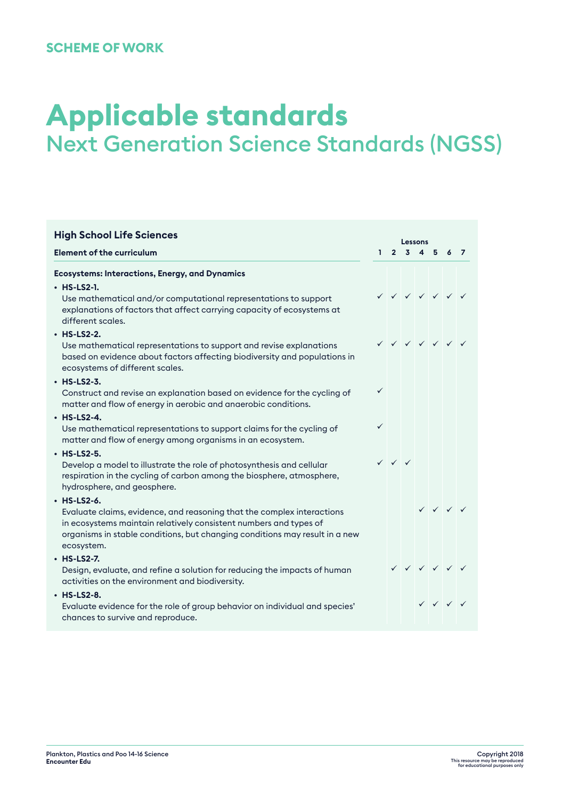# **Applicable standards** Next Generation Science Standards (NGSS)

| <b>High School Life Sciences</b>                                                                                                                                                                                                                          |              |                                        | Lessons       |  |                                                     |  |  |  |  |
|-----------------------------------------------------------------------------------------------------------------------------------------------------------------------------------------------------------------------------------------------------------|--------------|----------------------------------------|---------------|--|-----------------------------------------------------|--|--|--|--|
| <b>Element of the curriculum</b>                                                                                                                                                                                                                          | $\mathbf{L}$ |                                        | 2 3 4 5 6 7   |  |                                                     |  |  |  |  |
| <b>Ecosystems: Interactions, Energy, and Dynamics</b>                                                                                                                                                                                                     |              |                                        |               |  |                                                     |  |  |  |  |
| $·$ HS-LS2-1.<br>Use mathematical and/or computational representations to support<br>explanations of factors that affect carrying capacity of ecosystems at<br>different scales.                                                                          |              |                                        | V V V V V V   |  |                                                     |  |  |  |  |
| $·$ HS-LS2-2.<br>Use mathematical representations to support and revise explanations<br>based on evidence about factors affecting biodiversity and populations in<br>ecosystems of different scales.                                                      |              |                                        | V V V V V V V |  |                                                     |  |  |  |  |
| $·$ HS-LS2-3.<br>Construct and revise an explanation based on evidence for the cycling of<br>matter and flow of energy in aerobic and anaerobic conditions.                                                                                               | ✓            |                                        |               |  |                                                     |  |  |  |  |
| $·$ HS-LS2-4.<br>Use mathematical representations to support claims for the cycling of<br>matter and flow of energy among organisms in an ecosystem.                                                                                                      | ✓            |                                        |               |  |                                                     |  |  |  |  |
| $·$ HS-LS2-5.<br>Develop a model to illustrate the role of photosynthesis and cellular<br>respiration in the cycling of carbon among the biosphere, atmosphere,<br>hydrosphere, and geosphere.                                                            |              | $\checkmark$ $\checkmark$ $\checkmark$ |               |  |                                                     |  |  |  |  |
| $·$ HS-LS2-6.<br>Evaluate claims, evidence, and reasoning that the complex interactions<br>in ecosystems maintain relatively consistent numbers and types of<br>organisms in stable conditions, but changing conditions may result in a new<br>ecosystem. |              |                                        |               |  | $\checkmark$ $\checkmark$ $\checkmark$ $\checkmark$ |  |  |  |  |
| $·$ HS-LS2-7.<br>Design, evaluate, and refine a solution for reducing the impacts of human<br>activities on the environment and biodiversity.                                                                                                             |              |                                        | V V V V V V   |  |                                                     |  |  |  |  |
| $·$ HS-LS2-8.<br>Evaluate evidence for the role of group behavior on individual and species'<br>chances to survive and reproduce.                                                                                                                         |              |                                        |               |  | $\checkmark$ $\checkmark$ $\checkmark$ $\checkmark$ |  |  |  |  |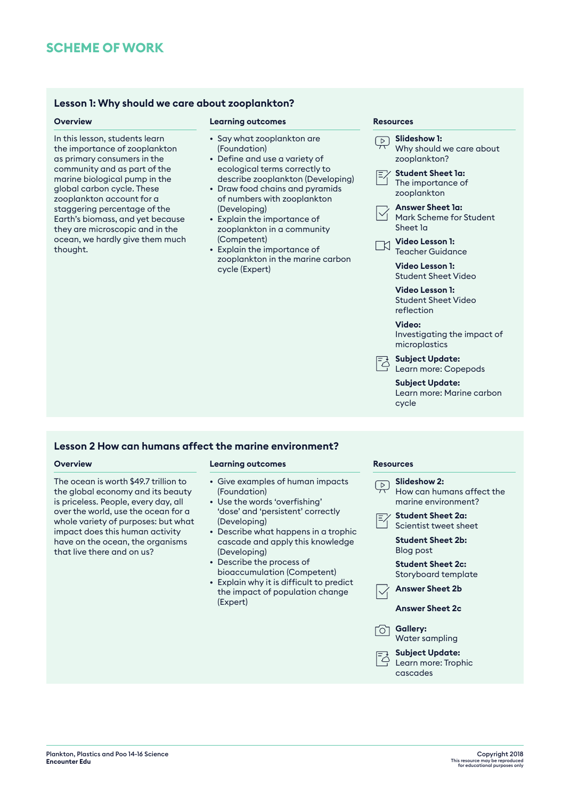### **Lesson 1: Why should we care about zooplankton?**

In this lesson, students learn the importance of zooplankton as primary consumers in the community and as part of the marine biological pump in the global carbon cycle. These zooplankton account for a staggering percentage of the Earth's biomass, and yet because they are microscopic and in the ocean, we hardly give them much thought.

### **Overview <b>Resources Learning outcomes Resources Resources**

- Say what zooplankton are (Foundation)
- Define and use a variety of ecological terms correctly to describe zooplankton (Developing)
- Draw food chains and pyramids of numbers with zooplankton (Developing)
- Explain the importance of zooplankton in a community (Competent)
- Explain the importance of zooplankton in the marine carbon cycle (Expert)

- **Slideshow 1:** Why should we care about zooplankton? **Student Sheet 1a:**
	- The importance of zooplankton
- **Answer Sheet 1a:** Mark Scheme for Student Sheet 1a
- **Video Lesson 1:**  $\Box$ Teacher Guidance

**Video Lesson 1:** Student Sheet Video

**Video Lesson 1:** Student Sheet Video reflection

**Video:** Investigating the impact of microplastics

- **Subject Update:** Learn more: Copepods
	- **Subject Update:** Learn more: Marine carbon cycle

### **Lesson 2 How can humans affect the marine environment?**

The ocean is worth \$49.7 trillion to the global economy and its beauty is priceless. People, every day, all over the world, use the ocean for a whole variety of purposes: but what impact does this human activity have on the ocean, the organisms that live there and on us?

### **Overview Learning outcomes Resources**

- Give examples of human impacts (Foundation)
- Use the words 'overfishing' 'dose' and 'persistent' correctly (Developing)
- Describe what happens in a trophic cascade and apply this knowledge (Developing)
- Describe the process of bioaccumulation (Competent)
- Explain why it is difficult to predict the impact of population change (Expert)

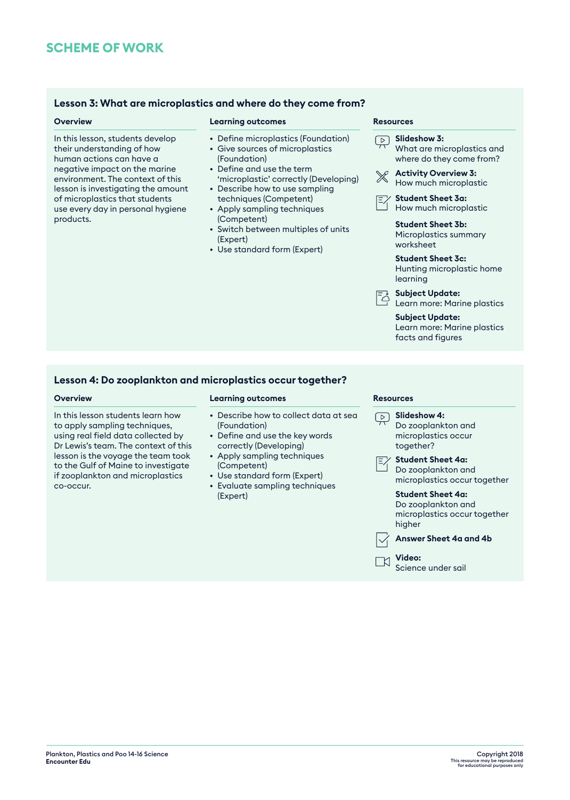### **Lesson 3: What are microplastics and where do they come from?**

In this lesson, students develop their understanding of how human actions can have a negative impact on the marine environment. The context of this lesson is investigating the amount of microplastics that students use every day in personal hygiene products.

### **Overview <b>Resources Learning outcomes Resources Resources**

- Define microplastics (Foundation)
- Give sources of microplastics (Foundation)
- Define and use the term 'microplastic' correctly (Developing)
- Describe how to use sampling techniques (Competent)
- Apply sampling techniques (Competent)
- Switch between multiples of units (Expert)
- Use standard form (Expert)

- **Slideshow 3:** What are microplastics and where do they come from?
- **Activity Overview 3:**   $\mathbb{X}$ How much microplastic
- **Student Sheet 3a:** E% How much microplastic

**Student Sheet 3b:** Microplastics summary worksheet

- **Student Sheet 3c:** Hunting microplastic home learning
- **Subject Update:** Learn more: Marine plastics

**Subject Update:** Learn more: Marine plastics facts and figures

### **Lesson 4: Do zooplankton and microplastics occur together?**

In this lesson students learn how to apply sampling techniques, using real field data collected by Dr Lewis's team. The context of this lesson is the voyage the team took to the Gulf of Maine to investigate if zooplankton and microplastics co-occur.

### **Overview Learning outcomes Resources**

- Describe how to collect data at sea (Foundation)
- Define and use the key words correctly (Developing)
- Apply sampling techniques (Competent)
- Use standard form (Expert)
- Evaluate sampling techniques (Expert)

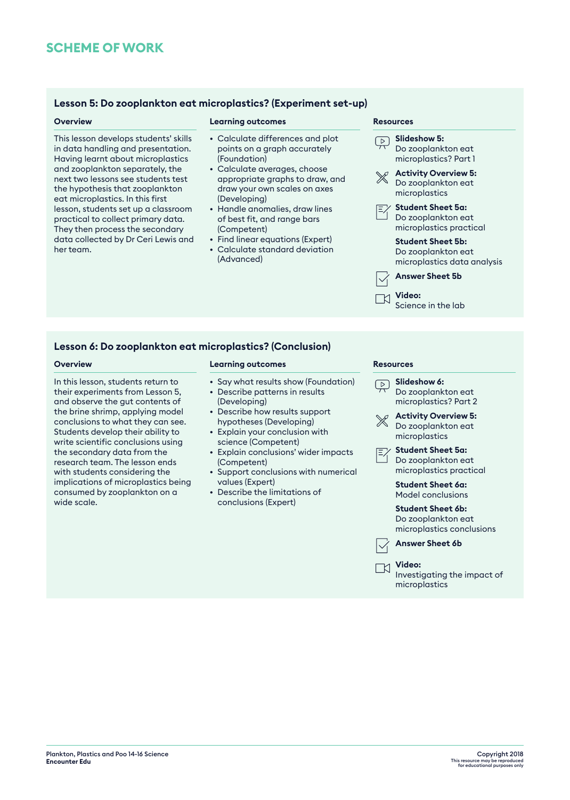### **Lesson 5: Do zooplankton eat microplastics? (Experiment set-up)**

This lesson develops students' skills in data handling and presentation. Having learnt about microplastics and zooplankton separately, the next two lessons see students test the hypothesis that zooplankton eat microplastics. In this first lesson, students set up a classroom practical to collect primary data. They then process the secondary data collected by Dr Ceri Lewis and her team.

### **Overview Learning outcomes Resources**

- Calculate differences and plot points on a graph accurately (Foundation)
- Calculate averages, choose appropriate graphs to draw, and draw your own scales on axes (Developing)
- Handle anomalies, draw lines of best fit, and range bars (Competent)
- Find linear equations (Expert)
- Calculate standard deviation (Advanced)

**Slideshow 5:** Do zooplankton eat microplastics? Part 1 **Activity Overview 5:**  $\mathbb{X}$ Do zooplankton eat microplastics **Student Sheet 5a:** Do zooplankton eat microplastics practical **Student Sheet 5b:** Do zooplankton eat microplastics data analysis **Answer Sheet 5b Video:** 

Science in the lab

### **Lesson 6: Do zooplankton eat microplastics? (Conclusion)**

In this lesson, students return to their experiments from Lesson 5, and observe the gut contents of the brine shrimp, applying model conclusions to what they can see. Students develop their ability to write scientific conclusions using the secondary data from the research team. The lesson ends with students considering the implications of microplastics being consumed by zooplankton on a wide scale.

### **Overview <b>Resources Learning outcomes Resources Resources**

- Say what results show (Foundation)
- Describe patterns in results (Developing)
- Describe how results support hypotheses (Developing)
- Explain your conclusion with science (Competent)
- Explain conclusions' wider impacts (Competent)
- Support conclusions with numerical values (Expert)
- Describe the limitations of conclusions (Expert)

 $\Box$ 

**Slideshow 6:** Do zooplankton eat microplastics? Part 2 **Activity Overview 5:** Do zooplankton eat microplastics **Student Sheet 5a:** Do zooplankton eat microplastics practical **Student Sheet 6a:** Model conclusions **Student Sheet 6b:** Do zooplankton eat microplastics conclusions **Answer Sheet 6b Video:**  Investigating the impact of microplastics